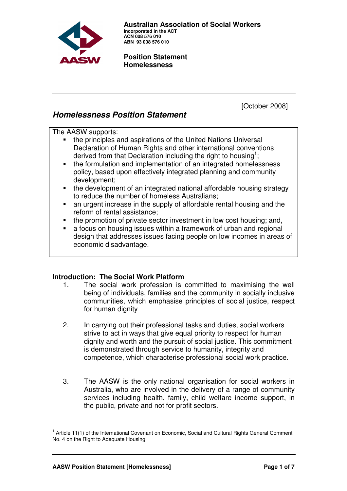

 **Australian Association of Social Workers Incorporated in the ACT ACN 008 576 010 ABN 93 008 576 010** 

#### **Position Statement Homelessness**

[October 2008]

# **Homelessness Position Statement**

The AASW supports:

- the principles and aspirations of the United Nations Universal Declaration of Human Rights and other international conventions derived from that Declaration including the right to housing<sup>1</sup>;
- the formulation and implementation of an integrated homelessness policy, based upon effectively integrated planning and community development;
- the development of an integrated national affordable housing strategy to reduce the number of homeless Australians;
- an urgent increase in the supply of affordable rental housing and the reform of rental assistance;
- the promotion of private sector investment in low cost housing; and,
- a focus on housing issues within a framework of urban and regional design that addresses issues facing people on low incomes in areas of economic disadvantage.

# **Introduction: The Social Work Platform**

- 1. The social work profession is committed to maximising the well being of individuals, families and the community in socially inclusive communities, which emphasise principles of social justice, respect for human dignity
- 2. In carrying out their professional tasks and duties, social workers strive to act in ways that give equal priority to respect for human dignity and worth and the pursuit of social justice. This commitment is demonstrated through service to humanity, integrity and competence, which characterise professional social work practice.
- 3. The AASW is the only national organisation for social workers in Australia, who are involved in the delivery of a range of community services including health, family, child welfare income support, in the public, private and not for profit sectors.

 $1$  Article 11(1) of the International Covenant on Economic, Social and Cultural Rights General Comment No. 4 on the Right to Adequate Housing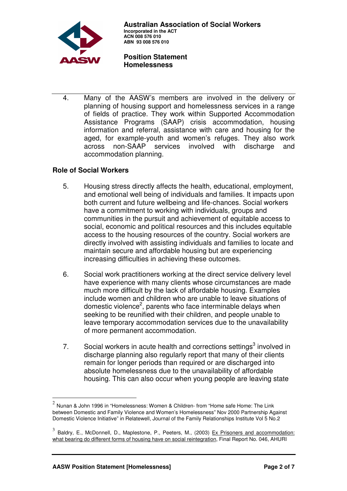

4. Many of the AASW's members are involved in the delivery or planning of housing support and homelessness services in a range of fields of practice. They work within Supported Accommodation Assistance Programs (SAAP) crisis accommodation, housing information and referral, assistance with care and housing for the aged, for example-youth and women's refuges. They also work across non-SAAP services involved with discharge and accommodation planning.

## **Role of Social Workers**

- 5. Housing stress directly affects the health, educational, employment, and emotional well being of individuals and families. It impacts upon both current and future wellbeing and life-chances. Social workers have a commitment to working with individuals, groups and communities in the pursuit and achievement of equitable access to social, economic and political resources and this includes equitable access to the housing resources of the country. Social workers are directly involved with assisting individuals and families to locate and maintain secure and affordable housing but are experiencing increasing difficulties in achieving these outcomes.
- 6. Social work practitioners working at the direct service delivery level have experience with many clients whose circumstances are made much more difficult by the lack of affordable housing. Examples include women and children who are unable to leave situations of domestic violence<sup>2</sup>, parents who face interminable delays when seeking to be reunified with their children, and people unable to leave temporary accommodation services due to the unavailability of more permanent accommodation.
- 7. Social workers in acute health and corrections settings $3$  involved in discharge planning also regularly report that many of their clients remain for longer periods than required or are discharged into absolute homelessness due to the unavailability of affordable housing. This can also occur when young people are leaving state

 $^2$  Nunan & John 1996 in "Homelessness: Women & Children- from "Home safe Home: The Link between Domestic and Family Violence and Women's Homelessness" Nov 2000 Partnership Against Domestic Violence Initiative" in Relatewell, Journal of the Family Relationships Institute Vol 5 No.2

<sup>3</sup> Baldry, E., McDonnell, D., Maplestone, P., Peeters, M., (2003) Ex Prisoners and accommodation: what bearing do different forms of housing have on social reintegration, Final Report No. 046, AHURI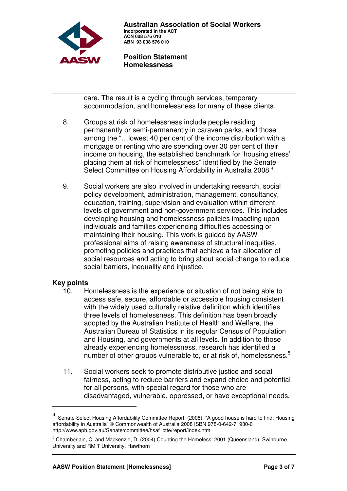

 **Australian Association of Social Workers Incorporated in the ACT ACN 008 576 010 ABN 93 008 576 010** 

 **Position Statement Homelessness**

care. The result is a cycling through services, temporary accommodation, and homelessness for many of these clients.

- 8. Groups at risk of homelessness include people residing permanently or semi-permanently in caravan parks, and those among the "…lowest 40 per cent of the income distribution with a mortgage or renting who are spending over 30 per cent of their income on housing, the established benchmark for 'housing stress' placing them at risk of homelessness" identified by the Senate Select Committee on Housing Affordability in Australia 2008.<sup>4</sup>
- 9. Social workers are also involved in undertaking research, social policy development, administration, management, consultancy, education, training, supervision and evaluation within different levels of government and non-government services. This includes developing housing and homelessness policies impacting upon individuals and families experiencing difficulties accessing or maintaining their housing. This work is guided by AASW professional aims of raising awareness of structural inequities, promoting policies and practices that achieve a fair allocation of social resources and acting to bring about social change to reduce social barriers, inequality and injustice.

#### **Key points**

- 10. Homelessness is the experience or situation of not being able to access safe, secure, affordable or accessible housing consistent with the widely used culturally relative definition which identifies three levels of homelessness. This definition has been broadly adopted by the Australian Institute of Health and Welfare, the Australian Bureau of Statistics in its regular Census of Population and Housing, and governments at all levels. In addition to those already experiencing homelessness, research has identified a number of other groups vulnerable to, or at risk of, homelessness.<sup>5</sup>
- 11. Social workers seek to promote distributive justice and social fairness, acting to reduce barriers and expand choice and potential for all persons, with special regard for those who are disadvantaged, vulnerable, oppressed, or have exceptional needs.

<sup>4</sup> Senate Select Housing Affordability Committee Report, (2008) "A good house is hard to find: Housing affordability in Australia" © Commonwealth of Australia 2008 ISBN 978-0-642-71930-0 http://www.aph.gov.au/Senate/committee/hsaf\_ctte/report/index.htm

 $<sup>5</sup>$  Chamberlain, C. and Mackenzie, D. (2004) Counting the Homeless: 2001 (Queensland), Swinburne</sup> University and RMIT University, Hawthorn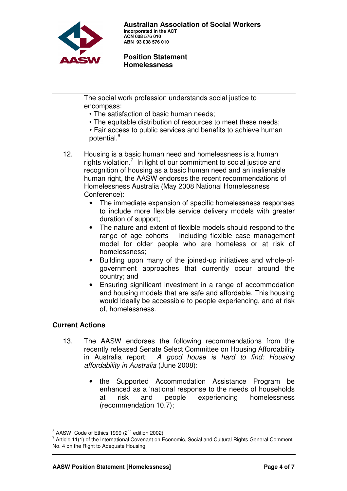

The social work profession understands social justice to encompass:

- The satisfaction of basic human needs;
- The equitable distribution of resources to meet these needs;
- Fair access to public services and benefits to achieve human potential.<sup>6</sup>
- 12. Housing is a basic human need and homelessness is a human rights violation.<sup>7</sup> In light of our commitment to social justice and recognition of housing as a basic human need and an inalienable human right, the AASW endorses the recent recommendations of Homelessness Australia (May 2008 National Homelessness Conference):
	- The immediate expansion of specific homelessness responses to include more flexible service delivery models with greater duration of support;
	- The nature and extent of flexible models should respond to the range of age cohorts – including flexible case management model for older people who are homeless or at risk of homelessness;
	- Building upon many of the joined-up initiatives and whole-ofgovernment approaches that currently occur around the country; and
	- Ensuring significant investment in a range of accommodation and housing models that are safe and affordable. This housing would ideally be accessible to people experiencing, and at risk of, homelessness.

# **Current Actions**

- 13. The AASW endorses the following recommendations from the recently released Senate Select Committee on Housing Affordability in Australia report: A good house is hard to find: Housing affordability in Australia (June 2008):
	- the Supported Accommodation Assistance Program be enhanced as a 'national response to the needs of households at risk and people experiencing homelessness (recommendation 10.7);

 $6$  AASW Code of Ethics 1999 (2 $<sup>nd</sup>$  edition 2002)</sup>

 $7$  Article 11(1) of the International Covenant on Economic, Social and Cultural Rights General Comment No. 4 on the Right to Adequate Housing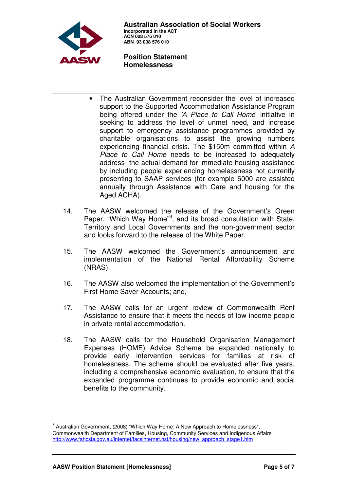

- The Australian Government reconsider the level of increased support to the Supported Accommodation Assistance Program being offered under the 'A Place to Call Home' initiative in seeking to address the level of unmet need, and increase support to emergency assistance programmes provided by charitable organisations to assist the growing numbers experiencing financial crisis. The \$150m committed within A Place to Call Home needs to be increased to adequately address the actual demand for immediate housing assistance by including people experiencing homelessness not currently presenting to SAAP services (for example 6000 are assisted annually through Assistance with Care and housing for the Aged ACHA).
- 14. The AASW welcomed the release of the Government's Green Paper, "Which Way Home"<sup>8</sup>, and its broad consultation with State, Territory and Local Governments and the non-government sector and looks forward to the release of the White Paper.
- 15. The AASW welcomed the Government's announcement and implementation of the National Rental Affordability Scheme (NRAS).
- 16. The AASW also welcomed the implementation of the Government's First Home Saver Accounts; and,
- 17. The AASW calls for an urgent review of Commonwealth Rent Assistance to ensure that it meets the needs of low income people in private rental accommodation.
- 18. The AASW calls for the Household Organisation Management Expenses (HOME) Advice Scheme be expanded nationally to provide early intervention services for families at risk of homelessness. The scheme should be evaluated after five years, including a comprehensive economic evaluation, to ensure that the expanded programme continues to provide economic and social benefits to the community.

 $\overline{a}$ 

 $^8$  Australian Government, (2008) "Which Way Home: A New Approach to Homelessness", Commonwealth Department of Families, Housing, Community Services and Indigenous Affairs http://www.fahcsia.gov.au/internet/facsinternet.nsf/housing/new\_approach\_stage1.htm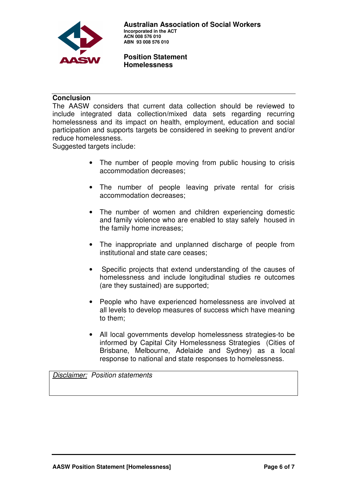

## **Conclusion**

The AASW considers that current data collection should be reviewed to include integrated data collection/mixed data sets regarding recurring homelessness and its impact on health, employment, education and social participation and supports targets be considered in seeking to prevent and/or reduce homelessness.

Suggested targets include:

- The number of people moving from public housing to crisis accommodation decreases;
- The number of people leaving private rental for crisis accommodation decreases;
- The number of women and children experiencing domestic and family violence who are enabled to stay safely housed in the family home increases;
- The inappropriate and unplanned discharge of people from institutional and state care ceases;
- Specific projects that extend understanding of the causes of homelessness and include longitudinal studies re outcomes (are they sustained) are supported;
- People who have experienced homelessness are involved at all levels to develop measures of success which have meaning to them;
- All local governments develop homelessness strategies-to be informed by Capital City Homelessness Strategies (Cities of Brisbane, Melbourne, Adelaide and Sydney) as a local response to national and state responses to homelessness.

Disclaimer: Position statements